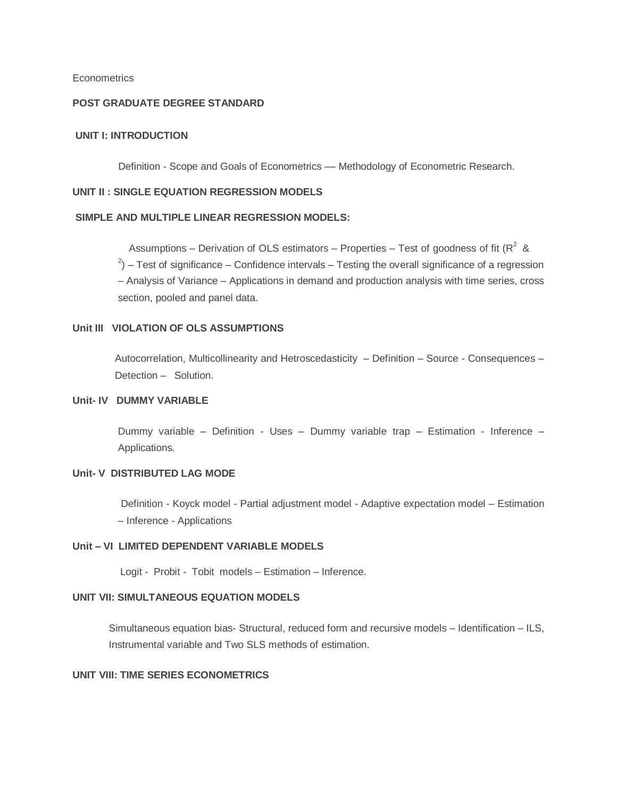### **Econometrics**

## **POST GRADUATE DEGREE STANDARD**

#### **UNIT I: INTRODUCTION**

Definition - Scope and Goals of Econometrics - Methodology of Econometric Research.

#### **UNIT II : SINGLE EQUATION REGRESSION MODELS**

### **SIMPLE AND MULTIPLE LINEAR REGRESSION MODELS:**

Assumptions – Derivation of OLS estimators – Properties – Test of goodness of fit ( $R^2$  &  $^{2}$ ) – Test of significance – Confidence intervals – Testing the overall significance of a regression – Analysis of Variance – Applications in demand and production analysis with time series, cross section, pooled and panel data.

### **Unit III VIOLATION OF OLS ASSUMPTIONS**

Autocorrelation, Multicollinearity and Hetroscedasticity – Definition – Source - Consequences – Detection – Solution.

## **Unit- IV DUMMY VARIABLE**

Dummy variable – Definition - Uses – Dummy variable trap – Estimation - Inference – Applications.

## **Unit- V DISTRIBUTED LAG MODE**

Definition - Koyck model - Partial adjustment model - Adaptive expectation model – Estimation – Inference - Applications

#### **Unit – VI LIMITED DEPENDENT VARIABLE MODELS**

Logit - Probit - Tobit models – Estimation – Inference.

## **UNIT VII: SIMULTANEOUS EQUATION MODELS**

Simultaneous equation bias- Structural, reduced form and recursive models – Identification – ILS, Instrumental variable and Two SLS methods of estimation.

### **UNIT VIII: TIME SERIES ECONOMETRICS**